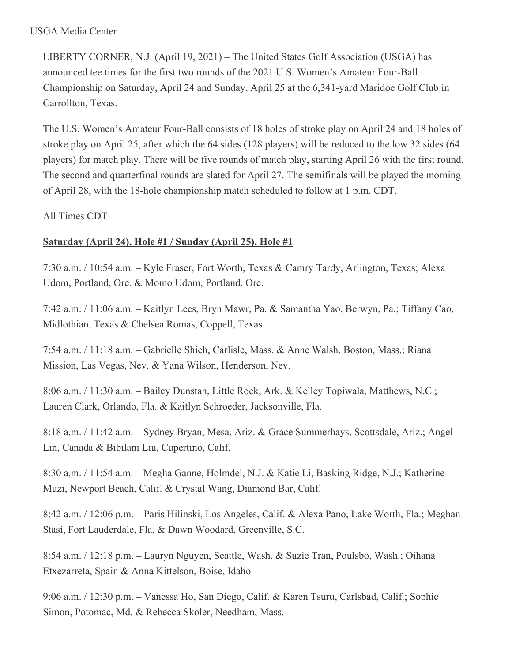LIBERTY CORNER, N.J. (April 19, 2021) – The United States Golf Association (USGA) has announced tee times for the first two rounds of the 2021 U.S. Women's Amateur Four-Ball Championship on Saturday, April 24 and Sunday, April 25 at the 6,341-yard Maridoe Golf Club in Carrollton, Texas.

The U.S. Women's Amateur Four-Ball consists of 18 holes of stroke play on April 24 and 18 holes of stroke play on April 25, after which the 64 sides (128 players) will be reduced to the low 32 sides (64 players) for match play. There will be five rounds of match play, starting April 26 with the first round. The second and quarterfinal rounds are slated for April 27. The semifinals will be played the morning of April 28, with the 18-hole championship match scheduled to follow at 1 p.m. CDT.

All Times CDT

## **Saturday (April 24), Hole #1 / Sunday (April 25), Hole #1**

7:30 a.m. / 10:54 a.m. – Kyle Fraser, Fort Worth, Texas & Camry Tardy, Arlington, Texas; Alexa Udom, Portland, Ore. & Momo Udom, Portland, Ore.

7:42 a.m. / 11:06 a.m. – Kaitlyn Lees, Bryn Mawr, Pa. & Samantha Yao, Berwyn, Pa.; Tiffany Cao, Midlothian, Texas & Chelsea Romas, Coppell, Texas

7:54 a.m. / 11:18 a.m. – Gabrielle Shieh, Carlisle, Mass. & Anne Walsh, Boston, Mass.; Riana Mission, Las Vegas, Nev. & Yana Wilson, Henderson, Nev.

8:06 a.m. / 11:30 a.m. – Bailey Dunstan, Little Rock, Ark. & Kelley Topiwala, Matthews, N.C.; Lauren Clark, Orlando, Fla. & Kaitlyn Schroeder, Jacksonville, Fla.

8:18 a.m. / 11:42 a.m. – Sydney Bryan, Mesa, Ariz. & Grace Summerhays, Scottsdale, Ariz.; Angel Lin, Canada & Bibilani Liu, Cupertino, Calif.

8:30 a.m. / 11:54 a.m. – Megha Ganne, Holmdel, N.J. & Katie Li, Basking Ridge, N.J.; Katherine Muzi, Newport Beach, Calif. & Crystal Wang, Diamond Bar, Calif.

8:42 a.m. / 12:06 p.m. – Paris Hilinski, Los Angeles, Calif. & Alexa Pano, Lake Worth, Fla.; Meghan Stasi, Fort Lauderdale, Fla. & Dawn Woodard, Greenville, S.C.

8:54 a.m. / 12:18 p.m. – Lauryn Nguyen, Seattle, Wash. & Suzie Tran, Poulsbo, Wash.; Oihana Etxezarreta, Spain & Anna Kittelson, Boise, Idaho

9:06 a.m. / 12:30 p.m. – Vanessa Ho, San Diego, Calif. & Karen Tsuru, Carlsbad, Calif.; Sophie Simon, Potomac, Md. & Rebecca Skoler, Needham, Mass.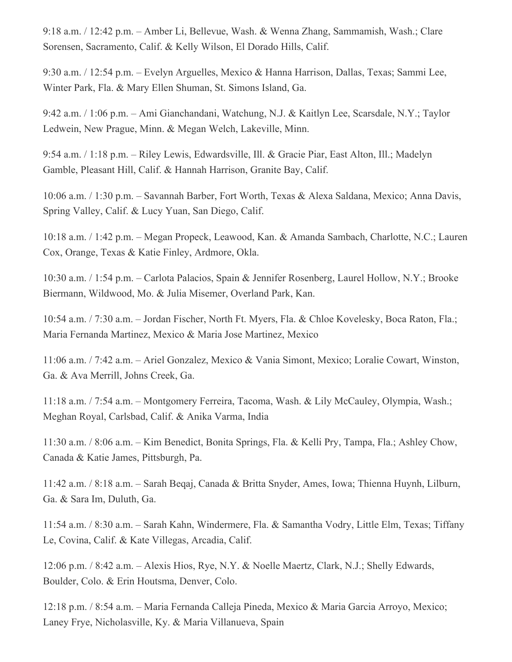9:18 a.m. / 12:42 p.m. – Amber Li, Bellevue, Wash. & Wenna Zhang, Sammamish, Wash.; Clare Sorensen, Sacramento, Calif. & Kelly Wilson, El Dorado Hills, Calif.

9:30 a.m. / 12:54 p.m. – Evelyn Arguelles, Mexico & Hanna Harrison, Dallas, Texas; Sammi Lee, Winter Park, Fla. & Mary Ellen Shuman, St. Simons Island, Ga.

9:42 a.m. / 1:06 p.m. – Ami Gianchandani, Watchung, N.J. & Kaitlyn Lee, Scarsdale, N.Y.; Taylor Ledwein, New Prague, Minn. & Megan Welch, Lakeville, Minn.

9:54 a.m. / 1:18 p.m. – Riley Lewis, Edwardsville, Ill. & Gracie Piar, East Alton, Ill.; Madelyn Gamble, Pleasant Hill, Calif. & Hannah Harrison, Granite Bay, Calif.

10:06 a.m. / 1:30 p.m. – Savannah Barber, Fort Worth, Texas & Alexa Saldana, Mexico; Anna Davis, Spring Valley, Calif. & Lucy Yuan, San Diego, Calif.

10:18 a.m. / 1:42 p.m. – Megan Propeck, Leawood, Kan. & Amanda Sambach, Charlotte, N.C.; Lauren Cox, Orange, Texas & Katie Finley, Ardmore, Okla.

10:30 a.m. / 1:54 p.m. – Carlota Palacios, Spain & Jennifer Rosenberg, Laurel Hollow, N.Y.; Brooke Biermann, Wildwood, Mo. & Julia Misemer, Overland Park, Kan.

10:54 a.m. / 7:30 a.m. – Jordan Fischer, North Ft. Myers, Fla. & Chloe Kovelesky, Boca Raton, Fla.; Maria Fernanda Martinez, Mexico & Maria Jose Martinez, Mexico

11:06 a.m. / 7:42 a.m. – Ariel Gonzalez, Mexico & Vania Simont, Mexico; Loralie Cowart, Winston, Ga. & Ava Merrill, Johns Creek, Ga.

11:18 a.m. / 7:54 a.m. – Montgomery Ferreira, Tacoma, Wash. & Lily McCauley, Olympia, Wash.; Meghan Royal, Carlsbad, Calif. & Anika Varma, India

11:30 a.m. / 8:06 a.m. – Kim Benedict, Bonita Springs, Fla. & Kelli Pry, Tampa, Fla.; Ashley Chow, Canada & Katie James, Pittsburgh, Pa.

11:42 a.m. / 8:18 a.m. – Sarah Beqaj, Canada & Britta Snyder, Ames, Iowa; Thienna Huynh, Lilburn, Ga. & Sara Im, Duluth, Ga.

11:54 a.m. / 8:30 a.m. – Sarah Kahn, Windermere, Fla. & Samantha Vodry, Little Elm, Texas; Tiffany Le, Covina, Calif. & Kate Villegas, Arcadia, Calif.

12:06 p.m. / 8:42 a.m. – Alexis Hios, Rye, N.Y. & Noelle Maertz, Clark, N.J.; Shelly Edwards, Boulder, Colo. & Erin Houtsma, Denver, Colo.

12:18 p.m. / 8:54 a.m. – Maria Fernanda Calleja Pineda, Mexico & Maria Garcia Arroyo, Mexico; Laney Frye, Nicholasville, Ky. & Maria Villanueva, Spain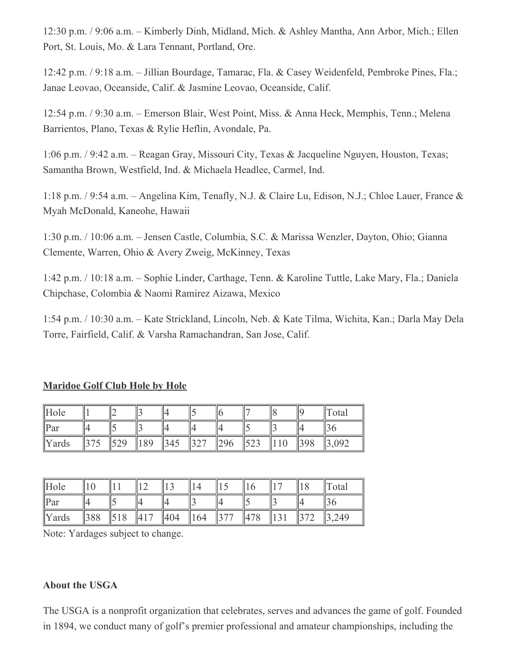12:30 p.m. / 9:06 a.m. – Kimberly Dinh, Midland, Mich. & Ashley Mantha, Ann Arbor, Mich.; Ellen Port, St. Louis, Mo. & Lara Tennant, Portland, Ore.

12:42 p.m. / 9:18 a.m. – Jillian Bourdage, Tamarac, Fla. & Casey Weidenfeld, Pembroke Pines, Fla.; Janae Leovao, Oceanside, Calif. & Jasmine Leovao, Oceanside, Calif.

12:54 p.m. / 9:30 a.m. – Emerson Blair, West Point, Miss. & Anna Heck, Memphis, Tenn.; Melena Barrientos, Plano, Texas & Rylie Heflin, Avondale, Pa.

1:06 p.m. / 9:42 a.m. – Reagan Gray, Missouri City, Texas & Jacqueline Nguyen, Houston, Texas; Samantha Brown, Westfield, Ind. & Michaela Headlee, Carmel, Ind.

1:18 p.m. / 9:54 a.m. – Angelina Kim, Tenafly, N.J. & Claire Lu, Edison, N.J.; Chloe Lauer, France & Myah McDonald, Kaneohe, Hawaii

1:30 p.m. / 10:06 a.m. – Jensen Castle, Columbia, S.C. & Marissa Wenzler, Dayton, Ohio; Gianna Clemente, Warren, Ohio & Avery Zweig, McKinney, Texas

1:42 p.m. / 10:18 a.m. – Sophie Linder, Carthage, Tenn. & Karoline Tuttle, Lake Mary, Fla.; Daniela Chipchase, Colombia & Naomi Ramirez Aizawa, Mexico

1:54 p.m. / 10:30 a.m. – Kate Strickland, Lincoln, Neb. & Kate Tilma, Wichita, Kan.; Darla May Dela Torre, Fairfield, Calif. & Varsha Ramachandran, San Jose, Calif.

## **Maridoe Golf Club Hole by Hole**

| Hole     |  |    |                  |  |  |                   | `otal |
|----------|--|----|------------------|--|--|-------------------|-------|
| $\ $ Par |  |    |                  |  |  |                   |       |
| Yards    |  | 89 | $\frac{1345}{5}$ |  |  | $0^{\circ}$<br>УO | 092   |

| Hole     |     |                 |     |     |         |     |  | Total             |
|----------|-----|-----------------|-----|-----|---------|-----|--|-------------------|
| $\ $ Par |     |                 |     |     |         |     |  |                   |
| Yards    | 388 | $\frac{1}{518}$ | 417 | 404 | $\ 164$ | 478 |  | $\parallel$ 3,249 |

Note: Yardages subject to change.

## **About the USGA**

The USGA is a nonprofit organization that celebrates, serves and advances the game of golf. Founded in 1894, we conduct many of golf's premier professional and amateur championships, including the